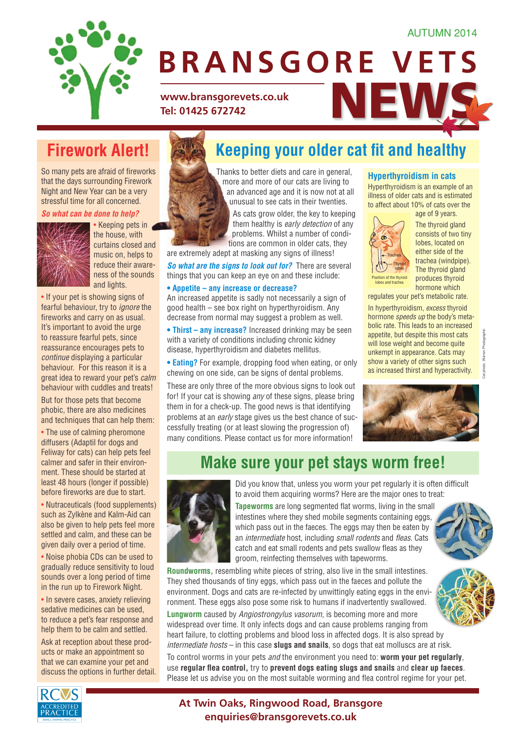### AUTUMN 2014



# www.bransgorevets.co.uk<br>Tel: 01425 672742 **BRANSGORE VETS** with the shorter day of the shorter day

conditions including: joint problems, heart disease, diabetes and many others. *So what can be done to help overweight pets?* If you suspect your pet is getting a little

**Tel: 01425 672742** www.bransgorevets.co.uk  $\blacksquare$ 

With the cold we have the cold we have the cold with the cold with the cold with the cold with the cold with the cold with the cold with the cold with the cold with the cold with the cold with the cold with the cold with t

sheltered position and they have plenty of warm clean bedding – which

## **Firework Alert!**

So many pets are afraid of fireworks that the days surrounding Firework Night and New Year can be a very stressful time for all concerned.

*So what can be done to help?*



• Keeping pets in the house, with curtains closed and music on, helps to reduce their awareness of the sounds and lights.

• If your pet is showing signs of fearful behaviour, try to *ignore* the fireworks and carry on as usual. It's important to avoid the urge to reassure fearful pets, since reassurance encourages pets to *continue* displaying a particular behaviour. For this reason it is a great idea to reward your pet's *calm*  behaviour with cuddles and treats!

But for those pets that become phobic, there are also medicines and techniques that can help them:

• The use of calming pheromone diffusers (Adaptil for dogs and Feliway for cats) can help pets feel calmer and safer in their environment. These should be started at least 48 hours (longer if possible) before fireworks are due to start.

• Nutraceuticals (food supplements) such as Zylkène and Kalm-Aid can also be given to help pets feel more settled and calm, and these can be given daily over a period of time.

• Noise phobia CDs can be used to gradually reduce sensitivity to loud sounds over a long period of time in the run up to Firework Night.

• In severe cases, anxiety relieving sedative medicines can be used, to reduce a pet's fear response and help them to be calm and settled.

Ask at reception about these products or make an appointment so that we can examine your pet and discuss the options in further detail.

#### **Keeping your older cat fit and healthy** put together some seasonal tips to keep when nu snow, slim fi ne coated breeds (such as in the coated breeds) ning vour older est fit and To achieve weight loss we recommend feeding a specially formulated lower calorie diet,

**harder the industry of the individual fields** and care in general, **harder there are often in the such as arthritis are of the such as articles**  $\blacksquare$  is the more and more of our cats are living to  $\blacksquare$ in the evening, use of the evening, and collars to ensure you can be seen. **Fact Also found and thought also for the twenties.** The team of the team of the team of the team of the team of the team of the team of the team of the team of the team of the team of the team of the team of the team of t pets that live outdoors Thanks to better diets and care in general, **Hynerthyrni** an advanced age and it is now not at all

such as guinea pigs and rabbits and hens. Make sure their hutch is in a As cats grow older, the key to keeping that the third problems are surprisingly commonly common in order personal personal personal personal personal them healthy is *early detection* of any problems. Whilst a number of condi $tions$  are common in older cats, they

should be changed daily. Also, keep a regular extremely adent at make sure sure in order calls, the area extremely adent at make in any signs of illness! are extremely adept at masking any signs of illness!

So what are the signs to look out for? There are several things that you can keep an eye on and these include:

#### **• Appetite – any increase or decrease?** Hyperthyroid cats typically have an increased appetite, but *despite* this

ncreased appetit good health – see box right on hyperthyroidism. Any lin hyperthyroidism decrease from normal may suggest a problem as well.  $\overline{h}$  hormone spec An increased appetite is sadly not necessarily a sign of **regulates yout** 

**• Thirst – any increase?** Increased drinking may be seen. with a variety of conditions including chronic kidney **Example the production of the pollen, are produced hormone is a relatively computed in the political disease, hyporthyroidism and diabetes mellitus.** 

toxic, causing kidney failure. • Eating? For example, dropping food when eating, or only show a varie chewing on one side, can be signs of dental problems.

**b** These are only three **for!** If your cat is sho them in for a check-up. The good news is that identifying problems at an early stage gives us the best chance of suc-These are only three of the more obvious signs to look out ince are employed and mere connect explore to reation. The conditional state of the condition. If your cat is showing *any* of these signs, please bring many conditions. Please contact us for more information! cessfully treating (or at least slowing the progression of)

### **Hyperthyroidism in cats**

Hyperthyroidism is an example of an illness of older cats and is estimated to affect about 10% of cats over the



age of 9 years. The thyroid gland consists of two tiny lobes, located on either side of the trachea (windpipe). The thyroid gland produces thyroid hormone which

regulates your pet's metabolic rate.

 $\frac{m}{2}$  increased drinking more homeon. bolic rate. This leads to an increased n and diabeles mentus. The original the original and the original may In hyperthyroidism, *excess* thyroid hormone *speeds up* the body's metaappetite, but despite this most cats will lose weight and become quite show a variety of other signs such as increased thirst and hyperactivity.



## **Make sure your pet stays worm free!**



Did you know that, unless you worm your pet regularly it is often difficult to avoid them acquiring worms? Here are the major ones to treat:

**Tapeworms** are long segmented flat worms, living in the small intestines where they shed mobile segments containing eggs, which pass out in the faeces. The eggs may then be eaten by an *intermediate* host, including *small rodents* and *fleas*. Cats catch and eat small rodents and pets swallow fleas as they groom, reinfecting themselves with tapeworms.

**Roundworms,** resembling white pieces of string, also live in the small intestines. They shed thousands of tiny eggs, which pass out in the faeces and pollute the environment. Dogs and cats are re-infected by unwittingly eating eggs in the environment. These eggs also pose some risk to humans if inadvertently swallowed.



**Lungworm** caused by *Angiostrongylus vasorum*, is becoming more and more widespread over time. It only infects dogs and can cause problems ranging from heart failure, to clotting problems and blood loss in affected dogs. It is also spread by *intermediate hosts* – in this case **slugs and snails**, so dogs that eat molluscs are at risk.

To control worms in your pets *and* the environment you need to: **worm your pet regularly**, use **regular flea control,** try to **prevent dogs eating slugs and snails** and **clear up faeces**. Please let us advise you on the most suitable worming and flea control regime for your pet.



**At Twin Oaks, Ringwood Road, Bransgore enquiries@bransgorevets.co.uk**